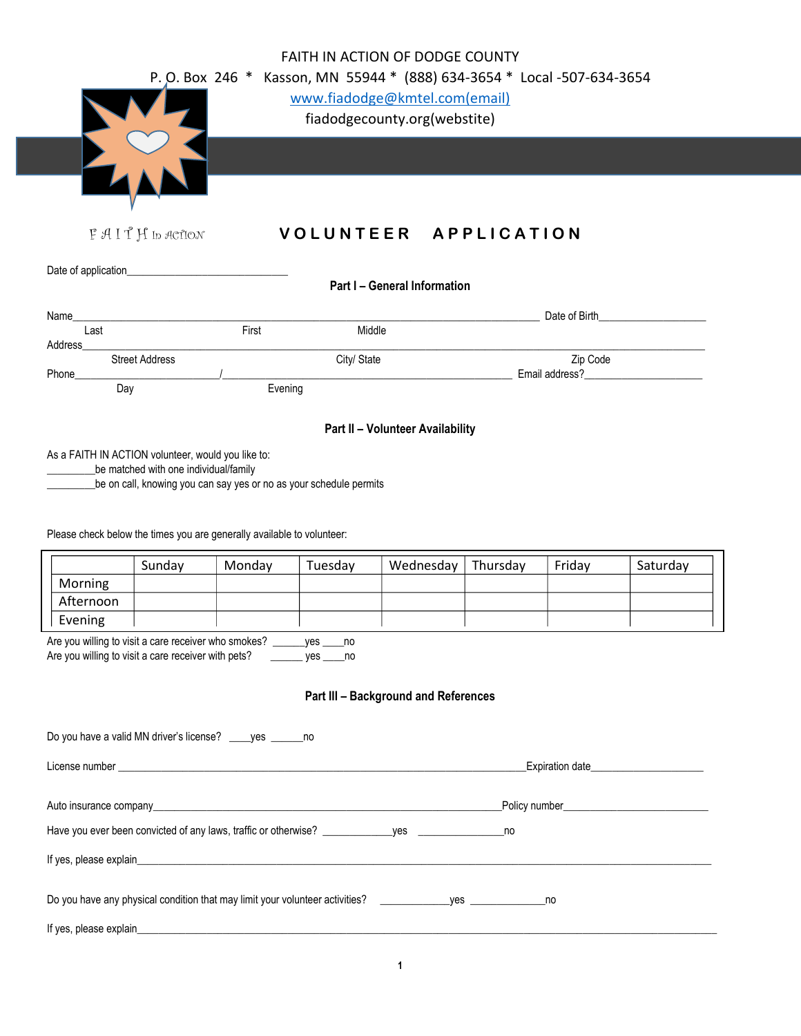| FAITH IN ACTION OF DODGE COUNTY<br>P. O. Box 246 * Kasson, MN 55944 * (888) 634-3654 * Local -507-634-3654<br>www.fiadodge@kmtel.com(email)<br>fiadodgecounty.org(webstite)           |                                                               |         |             |                                  |                                                                                                                                                                                                                                                    |        |                                                                                                                                                                                                                                |  |  |
|---------------------------------------------------------------------------------------------------------------------------------------------------------------------------------------|---------------------------------------------------------------|---------|-------------|----------------------------------|----------------------------------------------------------------------------------------------------------------------------------------------------------------------------------------------------------------------------------------------------|--------|--------------------------------------------------------------------------------------------------------------------------------------------------------------------------------------------------------------------------------|--|--|
|                                                                                                                                                                                       | FAITH In ACTION                                               |         |             | VOLUNTEER APPLICATION            |                                                                                                                                                                                                                                                    |        |                                                                                                                                                                                                                                |  |  |
|                                                                                                                                                                                       |                                                               |         |             |                                  |                                                                                                                                                                                                                                                    |        |                                                                                                                                                                                                                                |  |  |
| Part I - General Information                                                                                                                                                          |                                                               |         |             |                                  |                                                                                                                                                                                                                                                    |        |                                                                                                                                                                                                                                |  |  |
| Name                                                                                                                                                                                  |                                                               |         |             |                                  |                                                                                                                                                                                                                                                    |        | Date of Birth <b>Exercise Services</b>                                                                                                                                                                                         |  |  |
| Last<br>Address                                                                                                                                                                       |                                                               | First   | Middle      |                                  |                                                                                                                                                                                                                                                    |        |                                                                                                                                                                                                                                |  |  |
| Phone                                                                                                                                                                                 | <b>Street Address</b>                                         |         | City/ State |                                  | Zip Code<br>Email address?<br><u>Letter and the set of the set of the set of the set of the set of the set of the set of the set of the set of the set of the set of the set of the set of the set of the set of the set of the set of the set</u> |        |                                                                                                                                                                                                                                |  |  |
| Day                                                                                                                                                                                   |                                                               | Evening |             |                                  |                                                                                                                                                                                                                                                    |        |                                                                                                                                                                                                                                |  |  |
|                                                                                                                                                                                       |                                                               |         |             | Part II - Volunteer Availability |                                                                                                                                                                                                                                                    |        |                                                                                                                                                                                                                                |  |  |
| be matched with one individual/family<br>be on call, knowing you can say yes or no as your schedule permits<br>Please check below the times you are generally available to volunteer: |                                                               |         |             |                                  |                                                                                                                                                                                                                                                    |        |                                                                                                                                                                                                                                |  |  |
|                                                                                                                                                                                       | Sunday                                                        | Monday  | Tuesday     | Wednesday                        | Thursday                                                                                                                                                                                                                                           | Friday | Saturday                                                                                                                                                                                                                       |  |  |
| Morning<br>Afternoon                                                                                                                                                                  |                                                               |         |             |                                  |                                                                                                                                                                                                                                                    |        |                                                                                                                                                                                                                                |  |  |
| Evening                                                                                                                                                                               |                                                               |         |             |                                  |                                                                                                                                                                                                                                                    |        |                                                                                                                                                                                                                                |  |  |
| Are you willing to visit a care receiver who smokes? _______ yes _____ no<br>Are you willing to visit a care receiver with pets? ________ yes _____ no                                |                                                               |         |             |                                  |                                                                                                                                                                                                                                                    |        |                                                                                                                                                                                                                                |  |  |
| Part III - Background and References                                                                                                                                                  |                                                               |         |             |                                  |                                                                                                                                                                                                                                                    |        |                                                                                                                                                                                                                                |  |  |
|                                                                                                                                                                                       | Do you have a valid MN driver's license? _____ yes _______ no |         |             |                                  |                                                                                                                                                                                                                                                    |        |                                                                                                                                                                                                                                |  |  |
|                                                                                                                                                                                       |                                                               |         |             |                                  |                                                                                                                                                                                                                                                    |        |                                                                                                                                                                                                                                |  |  |
|                                                                                                                                                                                       |                                                               |         |             |                                  |                                                                                                                                                                                                                                                    |        | Auto insurance company example to the contract of the contract of the contract of the contract of the contract of the contract of the contract of the contract of the contract of the contract of the contract of the contract |  |  |
|                                                                                                                                                                                       |                                                               |         |             |                                  |                                                                                                                                                                                                                                                    |        |                                                                                                                                                                                                                                |  |  |
|                                                                                                                                                                                       |                                                               |         |             |                                  |                                                                                                                                                                                                                                                    |        |                                                                                                                                                                                                                                |  |  |
| Do you have any physical condition that may limit your volunteer activities? _____________yes ________________no                                                                      |                                                               |         |             |                                  |                                                                                                                                                                                                                                                    |        |                                                                                                                                                                                                                                |  |  |
|                                                                                                                                                                                       |                                                               |         |             |                                  |                                                                                                                                                                                                                                                    |        |                                                                                                                                                                                                                                |  |  |
|                                                                                                                                                                                       |                                                               |         |             | 1                                |                                                                                                                                                                                                                                                    |        |                                                                                                                                                                                                                                |  |  |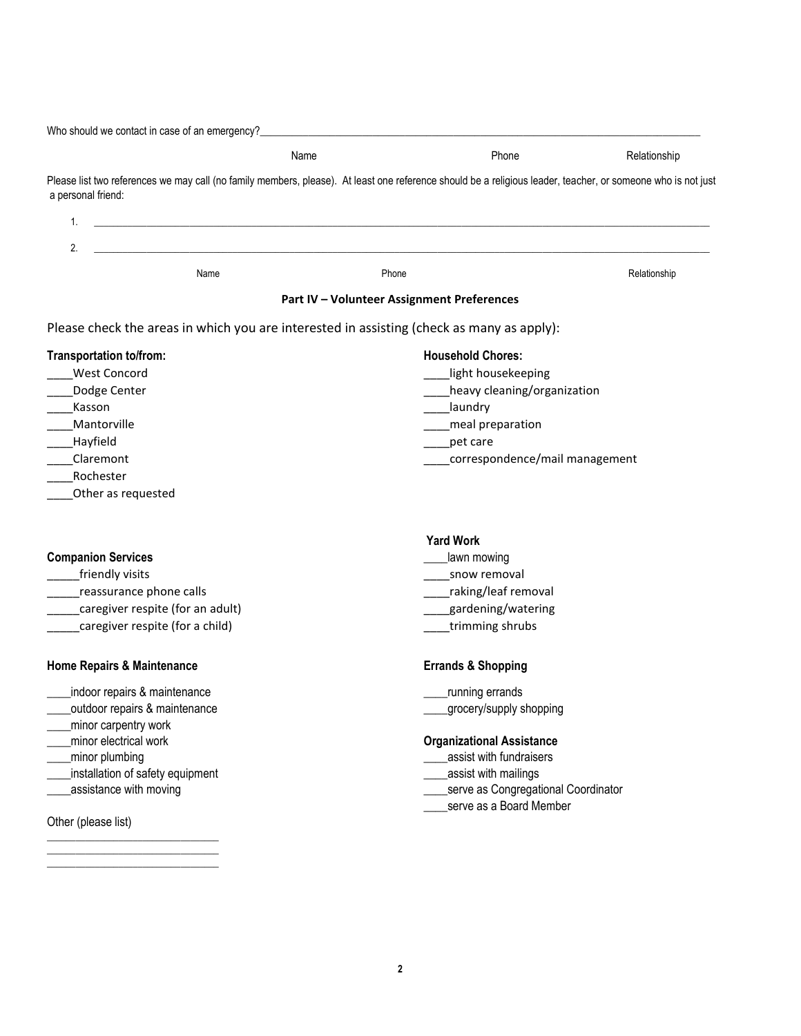Who should we contact in case of an emergency? Name **Name Phone Phone** Relationship Please list two references we may call (no family members, please). At least one reference should be a religious leader, teacher, or someone who is not just a personal friend: 1. \_\_\_\_\_\_\_\_\_\_\_\_\_\_\_\_\_\_\_\_\_\_\_\_\_\_\_\_\_\_\_\_\_\_\_\_\_\_\_\_\_\_\_\_\_\_\_\_\_\_\_\_\_\_\_\_\_\_\_\_\_\_\_\_\_\_\_\_\_\_\_\_\_\_\_\_\_\_\_\_\_\_\_\_\_\_\_\_\_\_\_\_\_\_\_\_\_\_\_\_\_\_\_\_\_\_\_\_\_\_\_\_\_\_\_\_\_\_\_\_\_\_\_\_\_\_\_\_\_ 2. \_\_\_\_\_\_\_\_\_\_\_\_\_\_\_\_\_\_\_\_\_\_\_\_\_\_\_\_\_\_\_\_\_\_\_\_\_\_\_\_\_\_\_\_\_\_\_\_\_\_\_\_\_\_\_\_\_\_\_\_\_\_\_\_\_\_\_\_\_\_\_\_\_\_\_\_\_\_\_\_\_\_\_\_\_\_\_\_\_\_\_\_\_\_\_\_\_\_\_\_\_\_\_\_\_\_\_\_\_\_\_\_\_\_\_\_\_\_\_\_\_\_\_\_\_\_\_\_\_ Name **Name** Relationship **Phone Phone Phone Phone Phone Phone Phone Relationship Part IV – Volunteer Assignment Preferences** Please check the areas in which you are interested in assisting (check as many as apply): **Transportation to/from: Household Chores:** west Concord **Exercise Concord Exercise Concord Exercise Concord Exercise Concord Exercise Concord Exercise Concord** Londge Center **Contract Contract Contract Contract Contract Contract Contract Contract Contract Contract Contract Contract Contract Contract Contract Contract Contract Contract Contract Contract Contract Contract Contract** \_\_\_\_Kasson \_\_\_\_laundry \_\_\_\_Mantorville \_\_\_\_meal preparation \_\_\_\_Hayfield \_\_\_\_pet care \_\_\_\_Claremont \_\_\_\_correspondence/mail management \_\_\_\_Rochester \_\_\_\_Other as requested  **Yard Work Companion Services and Services** *Lawn mowing Lawn mowing* \_\_\_\_\_friendly visits \_\_\_\_snow removal \_\_\_\_\_reassurance phone calls \_\_\_\_raking/leaf removal example of the caregiver respite (for an adult) and the caregiver respite for an adult) and the caregist of the caregist  $\frac{1}{2}$  and  $\frac{1}{2}$  and  $\frac{1}{2}$  and  $\frac{1}{2}$  and  $\frac{1}{2}$  and  $\frac{1}{2}$  and  $\frac{1}{2}$  and  $\frac$ example are caregiver respite (for a child) and the case of the case of the case of the case of the case of the case of the case of the case of the case of the case of the case of the case of the case of the case of the ca **Home Repairs & Maintenance Errands & Shopping** indoor repairs & maintenance example and the maintenance of the maintenance of the maintenance of the maintenance \_\_\_\_outdoor repairs & maintenance \_\_\_\_grocery/supply shopping \_\_\_\_minor carpentry work \_\_\_\_minor electrical work **Organizational Assistance** minor plumbing the state of the state of the state of the state of the state of the state of the state of the state of the state of the state of the state of the state of the state of the state of the state of the state of \_\_\_\_installation of safety equipment \_\_\_\_assist with mailings existance with moving the server assistance with moving the server as Congregational Coordinator serve as a Board Member

Other (please list)

\_\_\_\_\_\_\_\_\_\_\_\_\_\_\_\_\_\_\_\_\_\_\_\_\_\_\_\_\_\_\_\_\_\_\_\_ \_\_\_\_\_\_\_\_\_\_\_\_\_\_\_\_\_\_\_\_\_\_\_\_\_\_\_\_\_\_\_\_\_\_\_\_ \_\_\_\_\_\_\_\_\_\_\_\_\_\_\_\_\_\_\_\_\_\_\_\_\_\_\_\_\_\_\_\_\_\_\_\_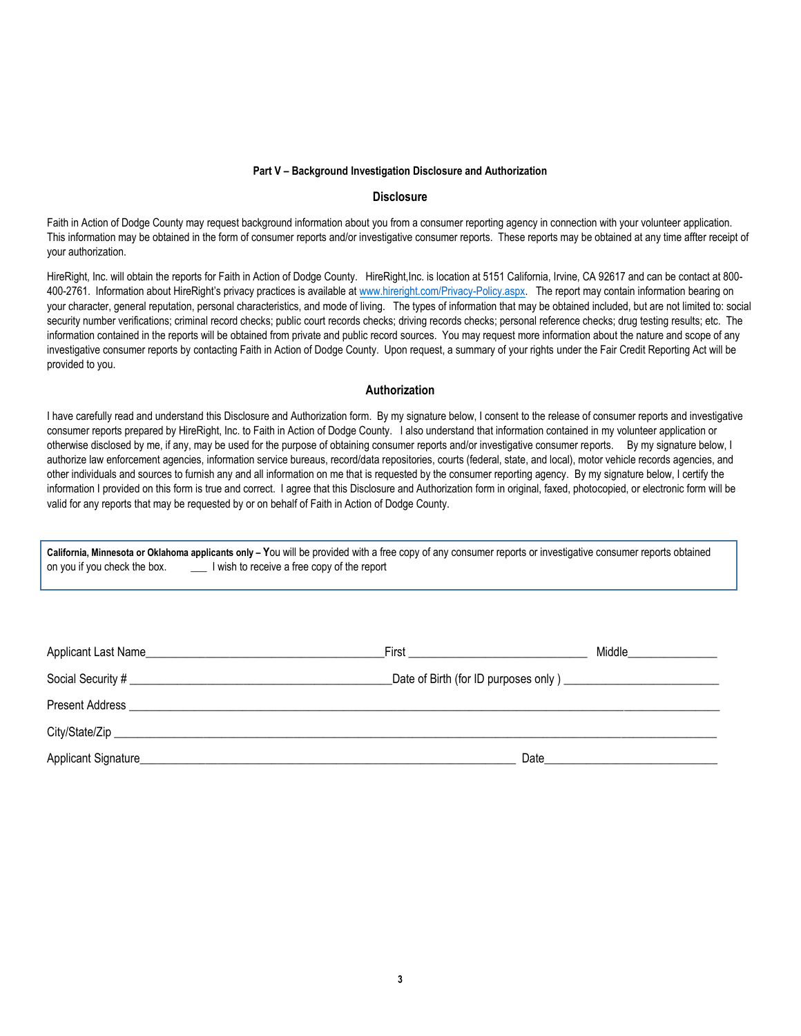## **Part V – Background Investigation Disclosure and Authorization**

## **Disclosure**

Faith in Action of Dodge County may request background information about you from a consumer reporting agency in connection with your volunteer application. This information may be obtained in the form of consumer reports and/or investigative consumer reports. These reports may be obtained at any time affter receipt of your authorization.

HireRight, Inc. will obtain the reports for Faith in Action of Dodge County. HireRight,Inc. is location at 5151 California, Irvine, CA 92617 and can be contact at 800- 400-2761. Information about HireRight's privacy practices is available at [www.hireright.com/Privacy-Policy.aspx.](http://www.hireright.com/Privacy-Policy.aspx) The report may contain information bearing on your character, general reputation, personal characteristics, and mode of living. The types of information that may be obtained included, but are not limited to: social security number verifications; criminal record checks; public court records checks; driving records checks; personal reference checks; drug testing results; etc. The information contained in the reports will be obtained from private and public record sources. You may request more information about the nature and scope of any investigative consumer reports by contacting Faith in Action of Dodge County. Upon request, a summary of your rights under the Fair Credit Reporting Act will be provided to you.

## **Authorization**

I have carefully read and understand this Disclosure and Authorization form. By my signature below, I consent to the release of consumer reports and investigative consumer reports prepared by HireRight, Inc. to Faith in Action of Dodge County. I also understand that information contained in my volunteer application or otherwise disclosed by me, if any, may be used for the purpose of obtaining consumer reports and/or investigative consumer reports. By my signature below, I authorize law enforcement agencies, information service bureaus, record/data repositories, courts (federal, state, and local), motor vehicle records agencies, and other individuals and sources to furnish any and all information on me that is requested by the consumer reporting agency. By my signature below, I certify the information I provided on this form is true and correct. I agree that this Disclosure and Authorization form in original, faxed, photocopied, or electronic form will be valid for any reports that may be requested by or on behalf of Faith in Action of Dodge County.

**California, Minnesota or Oklahoma applicants only – Y**ou will be provided with a free copy of any consumer reports or investigative consumer reports obtained on you if you check the box. \_\_\_\_\_\_\_ I wish to receive a free copy of the report

| Applicant Last Name_ | First | Middle |
|----------------------|-------|--------|
|                      |       |        |
| Present Address      |       |        |
|                      |       |        |
| Applicant Signature  | Date  |        |